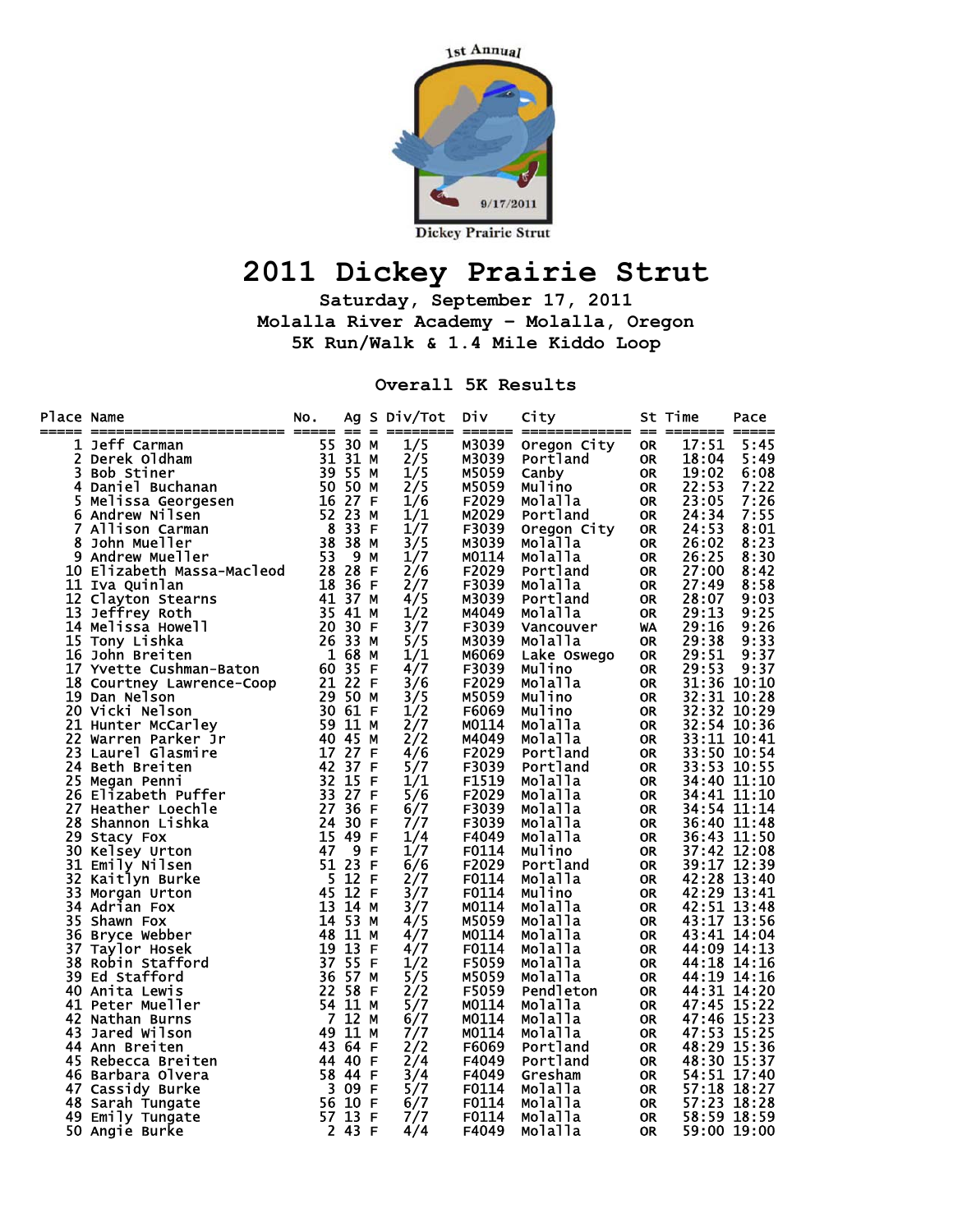

## **2011 Dickey Prairie Strut**

**Saturday, September 17, 2011 Molalla River Academy – Molalla, Oregon 5K Run/Walk & 1.4 Mile Kiddo Loop** 

**Overall 5K Results** 

| Place Name | ======================== ===== == =                                                                                                         | NO.     |                |              | Ag S Div/Tot | Div          | City        |           | St Time     | Pace |
|------------|---------------------------------------------------------------------------------------------------------------------------------------------|---------|----------------|--------------|--------------|--------------|-------------|-----------|-------------|------|
|            |                                                                                                                                             |         |                |              | 1/5          | M3039        | Oregon City | <b>OR</b> | 17:51       | 5:45 |
|            |                                                                                                                                             |         |                |              | 2/5          | M3039        | Portland    | <b>OR</b> | 18:04       | 5:49 |
|            |                                                                                                                                             |         |                |              | 1/5          | M5059        | Canby       | <b>OR</b> | 19:02       | 6:08 |
|            |                                                                                                                                             |         |                |              | 2/5          | M5059        | Mulino      | <b>OR</b> | 22:53       | 7:22 |
|            |                                                                                                                                             |         |                |              | 1/6          | F2029        | Molalla     | <b>OR</b> | 23:05       | 7:26 |
|            |                                                                                                                                             |         |                |              | 1/1          | M2029        | Portland    | <b>OR</b> | 24:34       | 7:55 |
|            |                                                                                                                                             |         |                |              | 1/7          | F3039        | Oregon City | OR        | 24:53       | 8:01 |
|            |                                                                                                                                             |         |                |              | 3/5          | M3039        | Molalla     | <b>OR</b> | 26:02       | 8:23 |
|            |                                                                                                                                             |         |                |              | 1/7          | M0114        | Molalla     | <b>OR</b> | 26:25       | 8:30 |
|            |                                                                                                                                             |         |                |              | 2/6          | F2029        | Portland    | 0R        | 27:00       | 8:42 |
|            |                                                                                                                                             |         |                |              | 2/7          | F3039        | Molalla     | OR        | 27:49       | 8:58 |
|            |                                                                                                                                             |         |                |              | 4/5          | M3039        | Portland    | OR        | 28:07       | 9:03 |
|            |                                                                                                                                             |         |                |              | 1/2          | M4049        | Molalla     | <b>OR</b> | 29:13       | 9:25 |
|            |                                                                                                                                             |         |                |              | 3/7          | F3039        | Vancouver   | WA        | 29:16       | 9:26 |
|            |                                                                                                                                             |         |                |              | 5/5          | M3039        | Molalla     | <b>OR</b> | 29:38       | 9:33 |
|            | 16 John Breiten                                                                                                                             | 1 68    |                | M            | 1/1          | M6069        | Lake Oswego | <b>OR</b> | 29:51       | 9:37 |
|            |                                                                                                                                             |         |                |              | 4/7          | F3039        | Mulino      | OR        | 29:53       | 9:37 |
|            |                                                                                                                                             |         |                |              | 3/6          | F2029        | Molalla     | <b>OR</b> | 31:36 10:10 |      |
|            |                                                                                                                                             |         |                |              | 3/5          | M5059        | Mulino      | <b>OR</b> | 32:31 10:28 |      |
|            | 17 Yvette Cushman-Baton 60 35 F<br>18 Courtney Lawrence-Coop 21 22 F<br>19 Dan Nelson 20 Vicki Nelson 30 61 F<br>21 Hunter McCarley 59 11 M |         |                |              | 1/2          | F6069        | Mulino      | OR        | 32:32 10:29 |      |
|            |                                                                                                                                             |         |                |              | 2/7          | M0114        | Molalla     | <b>OR</b> | 32:54 10:36 |      |
|            | 22 Warren Parker Jr                                                                                                                         | 40 45   |                | M            | 2/2          | M4049        | Molalla     | <b>OR</b> | 33:11 10:41 |      |
|            | 23 Laurel Glasmire                                                                                                                          |         | 17 27 F        |              | 4/6          | F2029        | Portland    | 0R        | 33:50 10:54 |      |
|            | 24 Beth Breiten                                                                                                                             | 42 37 F |                |              | 5/7          | F3039        | Portland    | OR        | 33:53 10:55 |      |
|            | 25 Megan Penni                                                                                                                              |         | 32 15 F        |              | 1/1          | F1519        | Molalla     | OR        | 34:40 11:10 |      |
|            | 26 Elizabeth Puffer                                                                                                                         | 33 27 F |                |              | 5/6          | F2029        | Molalla     | OR        | 34:41 11:10 |      |
|            | 27 Heather Loechle                                                                                                                          |         | 27 36 F        |              | 6/7          | F3039        | Molalla     | 0R        | 34:54 11:14 |      |
|            | 28 Shannon Lishka                                                                                                                           |         | 24 30 F        |              | 7/7          | F3039        | Molalla     | OR        | 36:40 11:48 |      |
|            | 29 Stacy Fox                                                                                                                                | 15 49   |                | F            | 1/4          | F4049        | Molalla     | <b>OR</b> | 36:43 11:50 |      |
|            | 30 Kelsey Urton                                                                                                                             | 47      | $\overline{9}$ | F            | 1/7          | F0114        | Mulino      | 0R.       | 37:42 12:08 |      |
|            | 31 Emily Nilsen                                                                                                                             | 51 23   |                | -F           | 6/6          | F2029        | Portland    | OR        | 39:17 12:39 |      |
| 32         | Kaitlyn Burke                                                                                                                               | 5 12 F  |                |              | 2/7          | F0114        | Molalla     | OR        | 42:28 13:40 |      |
| 33         | Morgan Urton                                                                                                                                |         | $45$ $12$ F    |              | 3/7          | F0114        | Mulino      | OR        | 42:29 13:41 |      |
|            | 34 Adrian Fox                                                                                                                               |         | 13 14 M        |              | 3/7          | M0114        | Molalla     | <b>OR</b> | 42:51 13:48 |      |
|            | 35 Shawn Fox                                                                                                                                | 14 53   |                | M            | 4/5          | M5059        | Molalla     | 0R        | 43:17 13:56 |      |
| 36         | Bryce Webber                                                                                                                                | 48 11   |                | м            | 4/7          | M0114        | Molalla     | <b>OR</b> | 43:41 14:04 |      |
| 37         | Taylor Hosek                                                                                                                                | 19 13   |                | -F           | 4/7          | F0114        | Molalla     | 0R.       | 44:09 14:13 |      |
|            | 38 Robin Stafford                                                                                                                           | 37 55   |                | -F           | 1/2          | F5059        | Molalla     | 0R        | 44:18 14:16 |      |
|            | 39 Ed Stafford                                                                                                                              |         | 36 57 M        |              | 5/5          | M5059        | Molalla     | 0R        | 44:19 14:16 |      |
|            | 40 Anita Lewis                                                                                                                              |         | 22 58 F        |              | 2/2          | <b>F5059</b> | Pendleton   | OR        | 44:31 14:20 |      |
|            | 41 Peter Mueller                                                                                                                            |         | 54 11 M        |              | 5/7          | M0114        | Molalla     | <b>OR</b> | 47:45 15:22 |      |
|            | 42 Nathan Burns                                                                                                                             |         | 7 12 M         |              | 6/7          | M0114        | Molalla     | 0R        | 47:46 15:23 |      |
|            | 43 Jared Wilson                                                                                                                             | 49 11   |                | м            | 7/7          | M0114        | Molalla     | <b>OR</b> | 47:53 15:25 |      |
|            | 44 Ann Breiten                                                                                                                              | 43 64   |                | -F           | 2/2          | F6069        | Portland    | 0R.       | 48:29 15:36 |      |
|            | 45 Rebecca Breiten                                                                                                                          | 44 40   |                | -F           | 2/4          | F4049        | Portland    | OR        | 48:30 15:37 |      |
|            | 46 Barbara Olvera                                                                                                                           |         | 58 44 F        |              | 3/4          | F4049        | Gresham     | OR        | 54:51 17:40 |      |
|            | 47 Cassidy Burke                                                                                                                            |         | 3 09 F         |              | 5/7          | F0114        | Molalla     | OR        | 57:18 18:27 |      |
|            | 48 Sarah Tungate                                                                                                                            |         | 56 10 F        |              | 6/7          | F0114        | Molalla     | <b>OR</b> | 57:23 18:28 |      |
|            | 49 Emily Tungate                                                                                                                            | 57 13   |                | $\mathsf{F}$ | 7/7          | F0114        | Molalla     | <b>OR</b> | 58:59 18:59 |      |
|            | 50 Angie Burke                                                                                                                              |         | 2 43 F         |              | 4/4          | F4049        | Molalla     | <b>OR</b> | 59:00 19:00 |      |